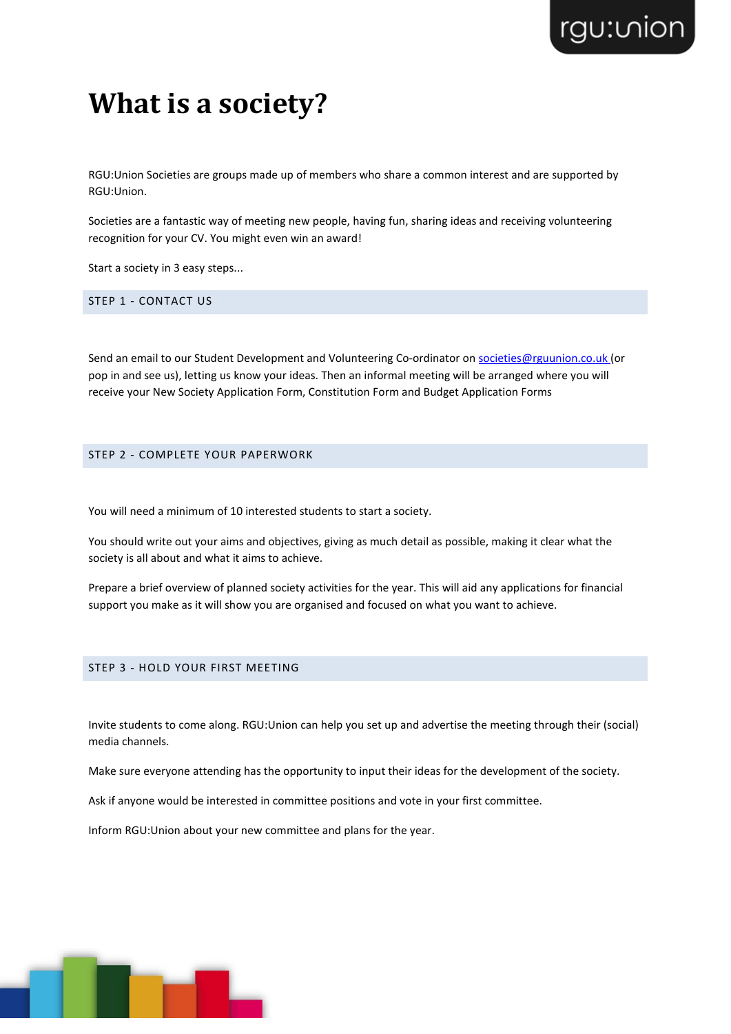# **What is a society?**

RGU:Union Societies are groups made up of members who share a common interest and are supported by RGU:Union.

Societies are a fantastic way of meeting new people, having fun, sharing ideas and receiving volunteering recognition for your CV. You might even win an award!

Start a society in 3 easy steps...

STEP 1 - CONTACT US

Send an email to our Student Development and Volunteering Co-ordinator on [societies@rguunion.co.uk \(](mailto:societies@rguunion.co.uk)or pop in and see us), letting us know your ideas. Then an informal meeting will be arranged where you will receive your New Society Application Form, Constitution Form and Budget Application Forms

### STEP 2 - COMPLETE YOUR PAPERWORK

You will need a minimum of 10 interested students to start a society.

You should write out your aims and objectives, giving as much detail as possible, making it clear what the society is all about and what it aims to achieve.

Prepare a brief overview of planned society activities for the year. This will aid any applications for financial support you make as it will show you are organised and focused on what you want to achieve.

### STEP 3 - HOLD YOUR FIRST MEETING

Invite students to come along. RGU:Union can help you set up and advertise the meeting through their (social) media channels.

Make sure everyone attending has the opportunity to input their ideas for the development of the society.

Ask if anyone would be interested in committee positions and vote in your first committee.

Inform RGU:Union about your new committee and plans for the year.

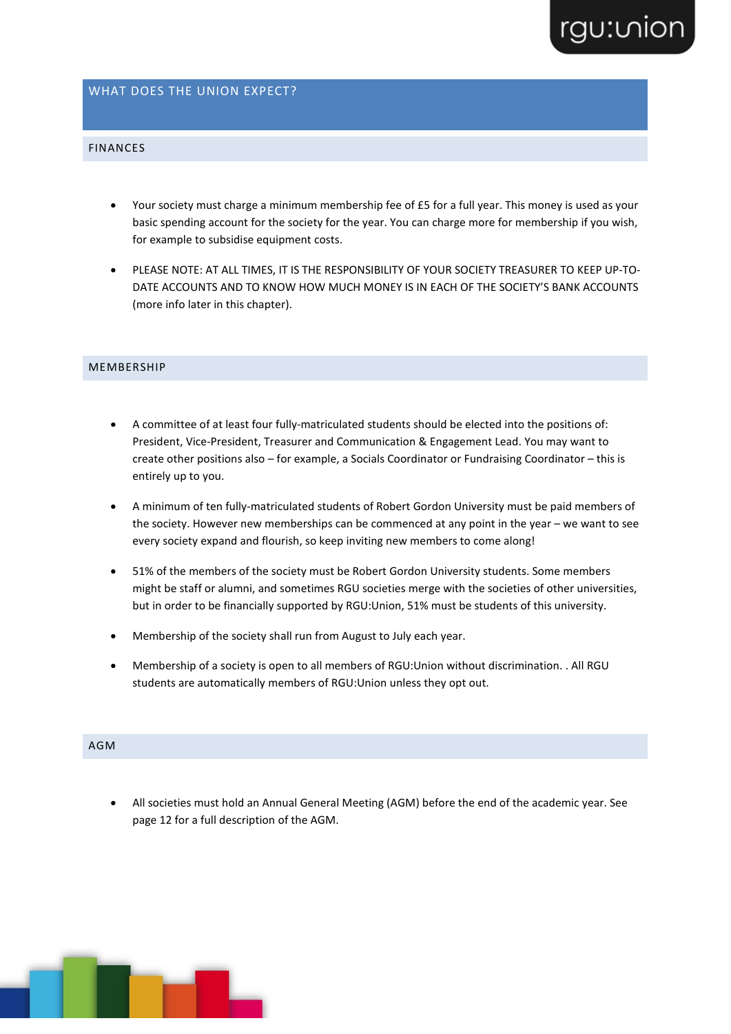# rgu:vion

#### WHAT DOES THE UNION EXPECT?

### FINANCES

- Your society must charge a minimum membership fee of £5 for a full year. This money is used as your basic spending account for the society for the year. You can charge more for membership if you wish, for example to subsidise equipment costs.
- PLEASE NOTE: AT ALL TIMES, IT IS THE RESPONSIBILITY OF YOUR SOCIETY TREASURER TO KEEP UP-TO-DATE ACCOUNTS AND TO KNOW HOW MUCH MONEY IS IN EACH OF THE SOCIETY'S BANK ACCOUNTS (more info later in this chapter).

#### **MEMBERSHIP**

- A committee of at least four fully-matriculated students should be elected into the positions of: President, Vice-President, Treasurer and Communication & Engagement Lead. You may want to create other positions also – for example, a Socials Coordinator or Fundraising Coordinator – this is entirely up to you.
- A minimum of ten fully-matriculated students of Robert Gordon University must be paid members of the society. However new memberships can be commenced at any point in the year – we want to see every society expand and flourish, so keep inviting new members to come along!
- 51% of the members of the society must be Robert Gordon University students. Some members might be staff or alumni, and sometimes RGU societies merge with the societies of other universities, but in order to be financially supported by RGU:Union, 51% must be students of this university.
- Membership of the society shall run from August to July each year.
- Membership of a society is open to all members of RGU:Union without discrimination. . All RGU students are automatically members of RGU:Union unless they opt out.

## AGM

• All societies must hold an Annual General Meeting (AGM) before the end of the academic year. See page 12 for a full description of the AGM.

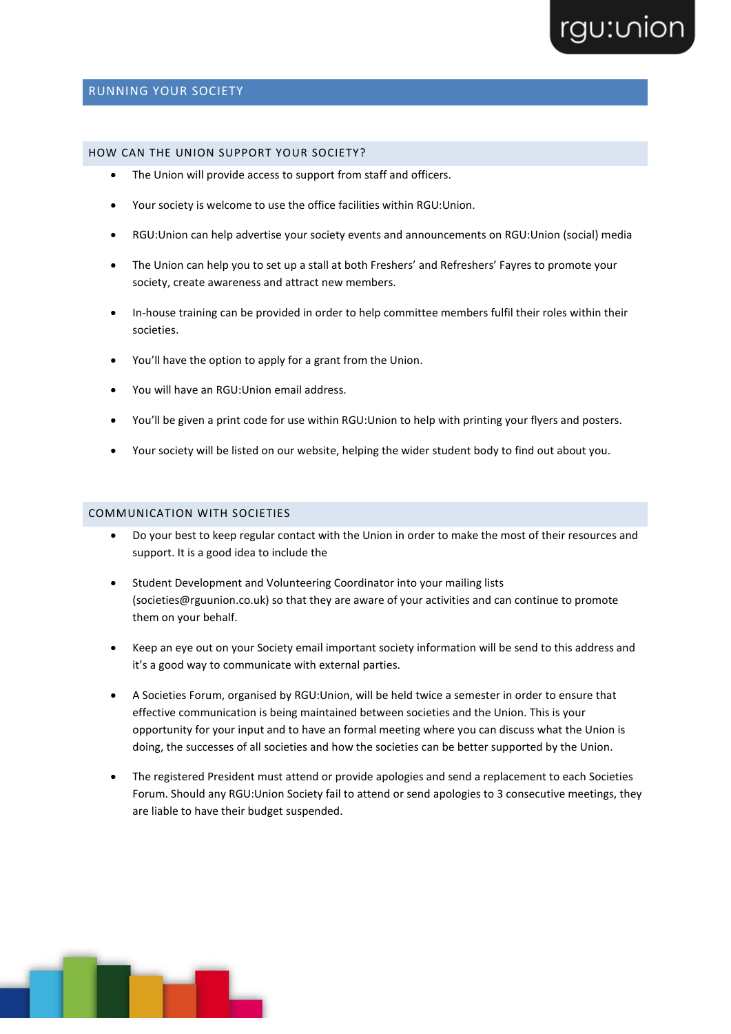## RUNNING YOUR SOCIETY

#### HOW CAN THE UNION SUPPORT YOUR SOCIETY?

- The Union will provide access to support from staff and officers.
- Your society is welcome to use the office facilities within RGU:Union.
- RGU:Union can help advertise your society events and announcements on RGU:Union (social) media
- The Union can help you to set up a stall at both Freshers' and Refreshers' Fayres to promote your society, create awareness and attract new members.
- In-house training can be provided in order to help committee members fulfil their roles within their societies.
- You'll have the option to apply for a grant from the Union.
- You will have an RGU:Union email address.
- You'll be given a print code for use within RGU:Union to help with printing your flyers and posters.
- Your society will be listed on our website, helping the wider student body to find out about you.

## COMMUNICATION WITH SOCIETIES

- Do your best to keep regular contact with the Union in order to make the most of their resources and support. It is a good idea to include the
- Student Development and Volunteering Coordinator into your mailing lists (societies@rguunion.co.uk) so that they are aware of your activities and can continue to promote them on your behalf.
- Keep an eye out on your Society email important society information will be send to this address and it's a good way to communicate with external parties.
- A Societies Forum, organised by RGU:Union, will be held twice a semester in order to ensure that effective communication is being maintained between societies and the Union. This is your opportunity for your input and to have an formal meeting where you can discuss what the Union is doing, the successes of all societies and how the societies can be better supported by the Union.
- The registered President must attend or provide apologies and send a replacement to each Societies Forum. Should any RGU:Union Society fail to attend or send apologies to 3 consecutive meetings, they are liable to have their budget suspended.

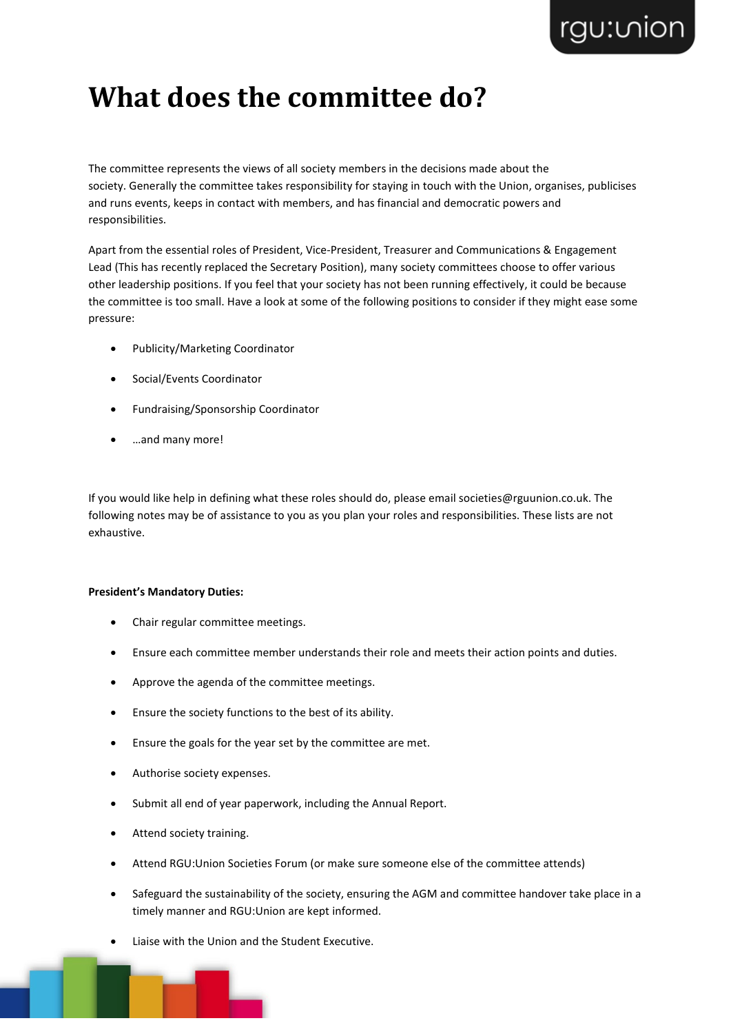# **What does the committee do?**

The committee represents the views of all society members in the decisions made about the society. Generally the committee takes responsibility for staying in touch with the Union, organises, publicises and runs events, keeps in contact with members, and has financial and democratic powers and responsibilities.

Apart from the essential roles of President, Vice-President, Treasurer and Communications & Engagement Lead (This has recently replaced the Secretary Position), many society committees choose to offer various other leadership positions. If you feel that your society has not been running effectively, it could be because the committee is too small. Have a look at some of the following positions to consider if they might ease some pressure:

- Publicity/Marketing Coordinator
- Social/Events Coordinator
- Fundraising/Sponsorship Coordinator
- …and many more!

If you would like help in defining what these roles should do, please email societies@rguunion.co.uk. The following notes may be of assistance to you as you plan your roles and responsibilities. These lists are not exhaustive.

### **President's Mandatory Duties:**

- Chair regular committee meetings.
- Ensure each committee member understands their role and meets their action points and duties.
- Approve the agenda of the committee meetings.
- Ensure the society functions to the best of its ability.
- Ensure the goals for the year set by the committee are met.
- Authorise society expenses.
- Submit all end of year paperwork, including the Annual Report.
- Attend society training.
- Attend RGU:Union Societies Forum (or make sure someone else of the committee attends)
- Safeguard the sustainability of the society, ensuring the AGM and committee handover take place in a timely manner and RGU:Union are kept informed.
- Liaise with the Union and the Student Executive.